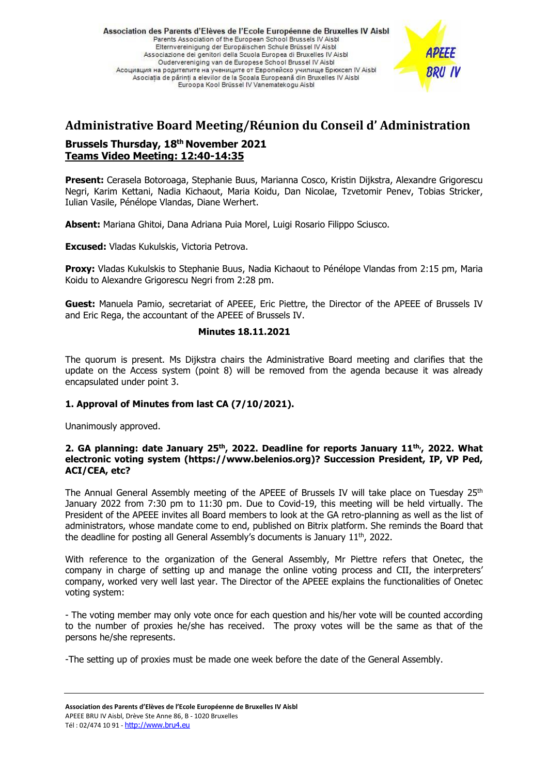Association des Parents d'Elèves de l'Ecole Européenne de Bruxelles IV Aisbl Parents Association of the European School Brussels IV Aisbi Elternvereinigung der Europäischen Schule Brüssel IV Aisbl Associazione dei genitori della Scuola Europea di Bruxelles IV Aisbl Oudervereniging van de Europese School Brussel IV Aisbl Асоциация на родителите на учениците от Европейско училище Брюксел IV Aisbl Asociatia de părinti a elevilor de la Scoala Europeană din Bruxelles IV Aisbl Euroopa Kool Brüssel IV Vanematekogu Aisbl



# **Administrative Board Meeting/Réunion du Conseil d' Administration Brussels Thursday, 18 th November 2021 Teams Video Meeting: 12:40-14:35**

**Present:** Cerasela Botoroaga, Stephanie Buus, Marianna Cosco, Kristin Dijkstra, Alexandre Grigorescu Negri, Karim Kettani, Nadia Kichaout, Maria Koidu, Dan Nicolae, Tzvetomir Penev, Tobias Stricker, Iulian Vasile, Pénélope Vlandas, Diane Werhert.

**Absent:** Mariana Ghitoi, Dana Adriana Puia Morel, Luigi Rosario Filippo Sciusco.

**Excused:** Vladas Kukulskis, Victoria Petrova.

**Proxy:** Vladas Kukulskis to Stephanie Buus, Nadia Kichaout to Pénélope Vlandas from 2:15 pm, Maria Koidu to Alexandre Grigorescu Negri from 2:28 pm.

**Guest:** Manuela Pamio, secretariat of APEEE, Eric Piettre, the Director of the APEEE of Brussels IV and Eric Rega, the accountant of the APEEE of Brussels IV.

### **Minutes 18.11.2021**

The quorum is present. Ms Dijkstra chairs the Administrative Board meeting and clarifies that the update on the Access system (point 8) will be removed from the agenda because it was already encapsulated under point 3.

# **1. Approval of Minutes from last CA (7/10/2021).**

Unanimously approved.

# **2. GA planning: date January 25th , 2022. Deadline for reports January 11th, , 2022. What electronic voting system (https://www.belenios.org)? Succession President, IP, VP Ped, ACI/CEA, etc?**

The Annual General Assembly meeting of the APEEE of Brussels IV will take place on Tuesday 25<sup>th</sup> January 2022 from 7:30 pm to 11:30 pm. Due to Covid-19, this meeting will be held virtually. The President of the APEEE invites all Board members to look at the GA retro-planning as well as the list of administrators, whose mandate come to end, published on Bitrix platform. She reminds the Board that the deadline for posting all General Assembly's documents is January 11<sup>th</sup>, 2022.

With reference to the organization of the General Assembly, Mr Piettre refers that Onetec, the company in charge of setting up and manage the online voting process and CII, the interpreters' company, worked very well last year. The Director of the APEEE explains the functionalities of Onetec voting system:

- The voting member may only vote once for each question and his/her vote will be counted according to the number of proxies he/she has received. The proxy votes will be the same as that of the persons he/she represents.

-The setting up of proxies must be made one week before the date of the General Assembly.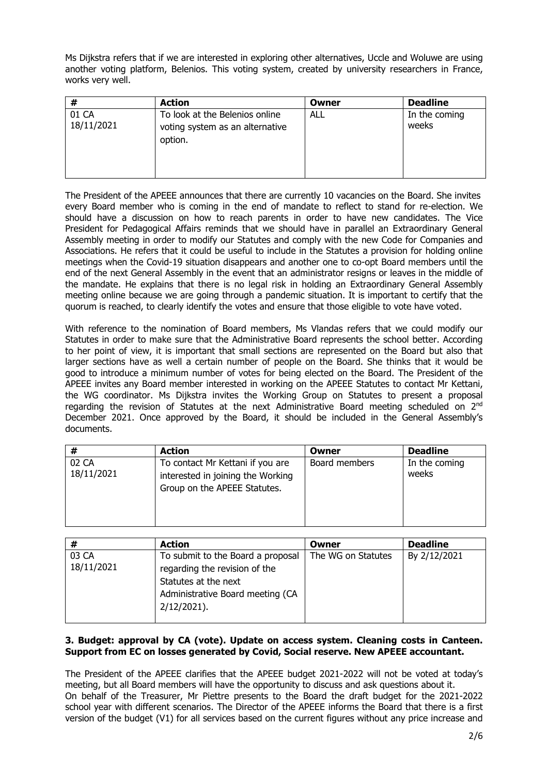Ms Dijkstra refers that if we are interested in exploring other alternatives, Uccle and Woluwe are using another voting platform, Belenios. This voting system, created by university researchers in France, works very well.

| #                   | <b>Action</b>                                                                | Owner | <b>Deadline</b>        |
|---------------------|------------------------------------------------------------------------------|-------|------------------------|
| 01 CA<br>18/11/2021 | To look at the Belenios online<br>voting system as an alternative<br>option. | ALL   | In the coming<br>weeks |

The President of the APEEE announces that there are currently 10 vacancies on the Board. She invites every Board member who is coming in the end of mandate to reflect to stand for re-election. We should have a discussion on how to reach parents in order to have new candidates. The Vice President for Pedagogical Affairs reminds that we should have in parallel an Extraordinary General Assembly meeting in order to modify our Statutes and comply with the new Code for Companies and Associations. He refers that it could be useful to include in the Statutes a provision for holding online meetings when the Covid-19 situation disappears and another one to co-opt Board members until the end of the next General Assembly in the event that an administrator resigns or leaves in the middle of the mandate. He explains that there is no legal risk in holding an Extraordinary General Assembly meeting online because we are going through a pandemic situation. It is important to certify that the quorum is reached, to clearly identify the votes and ensure that those eligible to vote have voted.

With reference to the nomination of Board members, Ms Vlandas refers that we could modify our Statutes in order to make sure that the Administrative Board represents the school better. According to her point of view, it is important that small sections are represented on the Board but also that larger sections have as well a certain number of people on the Board. She thinks that it would be good to introduce a minimum number of votes for being elected on the Board. The President of the APEEE invites any Board member interested in working on the APEEE Statutes to contact Mr Kettani, the WG coordinator. Ms Dijkstra invites the Working Group on Statutes to present a proposal regarding the revision of Statutes at the next Administrative Board meeting scheduled on 2<sup>nd</sup> December 2021. Once approved by the Board, it should be included in the General Assembly's documents.

|                     | <b>Action</b>                                                                                         | Owner         | <b>Deadline</b>        |
|---------------------|-------------------------------------------------------------------------------------------------------|---------------|------------------------|
| 02 CA<br>18/11/2021 | To contact Mr Kettani if you are<br>interested in joining the Working<br>Group on the APEEE Statutes. | Board members | In the coming<br>weeks |

| #                   | <b>Action</b>                                                                                                                                    | Owner              | <b>Deadline</b> |
|---------------------|--------------------------------------------------------------------------------------------------------------------------------------------------|--------------------|-----------------|
| 03 CA<br>18/11/2021 | To submit to the Board a proposal<br>regarding the revision of the<br>Statutes at the next<br>Administrative Board meeting (CA<br>$2/12/2021$ ). | The WG on Statutes | By 2/12/2021    |

# **3. Budget: approval by CA (vote). Update on access system. Cleaning costs in Canteen. Support from EC on losses generated by Covid, Social reserve. New APEEE accountant.**

The President of the APEEE clarifies that the APEEE budget 2021-2022 will not be voted at today's meeting, but all Board members will have the opportunity to discuss and ask questions about it. On behalf of the Treasurer, Mr Piettre presents to the Board the draft budget for the 2021-2022 school year with different scenarios. The Director of the APEEE informs the Board that there is a first version of the budget (V1) for all services based on the current figures without any price increase and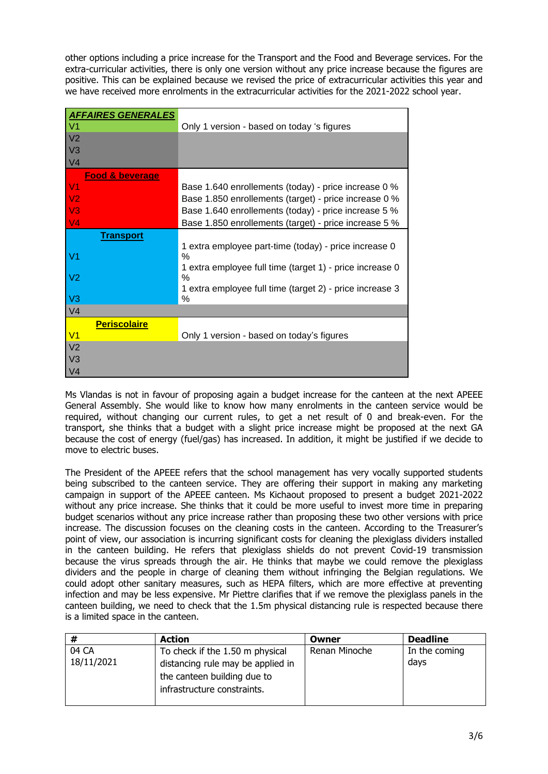other options including a price increase for the Transport and the Food and Beverage services. For the extra-curricular activities, there is only one version without any price increase because the figures are positive. This can be explained because we revised the price of extracurricular activities this year and we have received more enrolments in the extracurricular activities for the 2021-2022 school year.

| <b>AFFAIRES GENERALES</b>  |                                                               |
|----------------------------|---------------------------------------------------------------|
| V <sub>1</sub>             | Only 1 version - based on today 's figures                    |
| V <sub>2</sub>             |                                                               |
| V <sub>3</sub>             |                                                               |
| V <sub>4</sub>             |                                                               |
| <b>Food &amp; beverage</b> |                                                               |
| V <sub>1</sub>             | Base 1.640 enrollements (today) - price increase 0 %          |
| V <sub>2</sub>             | Base 1.850 enrollements (target) - price increase 0 %         |
| V <sub>3</sub>             | Base 1.640 enrollements (today) - price increase 5 %          |
| V <sub>4</sub>             | Base 1.850 enrollements (target) - price increase 5 %         |
| <b>Transport</b>           |                                                               |
|                            | 1 extra employee part-time (today) - price increase 0         |
| V1                         | %                                                             |
| V <sub>2</sub>             | 1 extra employee full time (target 1) - price increase 0<br>% |
|                            | 1 extra employee full time (target 2) - price increase 3      |
| V <sub>3</sub>             | %                                                             |
| V <sub>4</sub>             |                                                               |
| <b>Periscolaire</b>        |                                                               |
| V <sub>1</sub>             | Only 1 version - based on today's figures                     |
| V <sub>2</sub>             |                                                               |
| V <sub>3</sub>             |                                                               |
| V <sub>4</sub>             |                                                               |

Ms Vlandas is not in favour of proposing again a budget increase for the canteen at the next APEEE General Assembly. She would like to know how many enrolments in the canteen service would be required, without changing our current rules, to get a net result of 0 and break-even. For the transport, she thinks that a budget with a slight price increase might be proposed at the next GA because the cost of energy (fuel/gas) has increased. In addition, it might be justified if we decide to move to electric buses.

The President of the APEEE refers that the school management has very vocally supported students being subscribed to the canteen service. They are offering their support in making any marketing campaign in support of the APEEE canteen. Ms Kichaout proposed to present a budget 2021-2022 without any price increase. She thinks that it could be more useful to invest more time in preparing budget scenarios without any price increase rather than proposing these two other versions with price increase. The discussion focuses on the cleaning costs in the canteen. According to the Treasurer's point of view, our association is incurring significant costs for cleaning the plexiglass dividers installed in the canteen building. He refers that plexiglass shields do not prevent Covid-19 transmission because the virus spreads through the air. He thinks that maybe we could remove the plexiglass dividers and the people in charge of cleaning them without infringing the Belgian regulations. We could adopt other sanitary measures, such as HEPA filters, which are more effective at preventing infection and may be less expensive. Mr Piettre clarifies that if we remove the plexiglass panels in the canteen building, we need to check that the 1.5m physical distancing rule is respected because there is a limited space in the canteen.

| #          | <b>Action</b>                     | Owner         | <b>Deadline</b> |
|------------|-----------------------------------|---------------|-----------------|
| 04 CA      | To check if the 1.50 m physical   | Renan Minoche | In the coming   |
| 18/11/2021 | distancing rule may be applied in |               | days            |
|            | the canteen building due to       |               |                 |
|            | infrastructure constraints.       |               |                 |
|            |                                   |               |                 |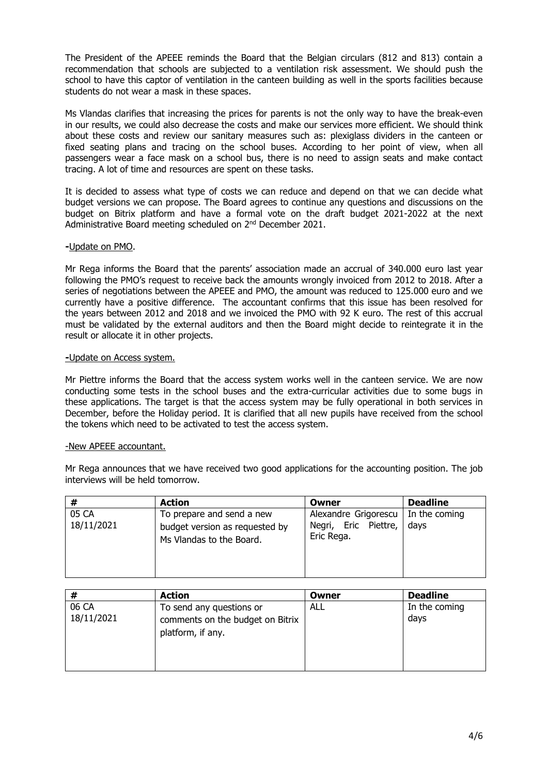The President of the APEEE reminds the Board that the Belgian circulars (812 and 813) contain a recommendation that schools are subjected to a ventilation risk assessment. We should push the school to have this captor of ventilation in the canteen building as well in the sports facilities because students do not wear a mask in these spaces.

Ms Vlandas clarifies that increasing the prices for parents is not the only way to have the break-even in our results, we could also decrease the costs and make our services more efficient. We should think about these costs and review our sanitary measures such as: plexiglass dividers in the canteen or fixed seating plans and tracing on the school buses. According to her point of view, when all passengers wear a face mask on a school bus, there is no need to assign seats and make contact tracing. A lot of time and resources are spent on these tasks.

It is decided to assess what type of costs we can reduce and depend on that we can decide what budget versions we can propose. The Board agrees to continue any questions and discussions on the budget on Bitrix platform and have a formal vote on the draft budget 2021-2022 at the next Administrative Board meeting scheduled on 2nd December 2021.

# **-**Update on PMO.

Mr Rega informs the Board that the parents' association made an accrual of 340.000 euro last year following the PMO's request to receive back the amounts wrongly invoiced from 2012 to 2018. After a series of negotiations between the APEEE and PMO, the amount was reduced to 125.000 euro and we currently have a positive difference. The accountant confirms that this issue has been resolved for the years between 2012 and 2018 and we invoiced the PMO with 92 K euro. The rest of this accrual must be validated by the external auditors and then the Board might decide to reintegrate it in the result or allocate it in other projects.

### **-**Update on Access system.

Mr Piettre informs the Board that the access system works well in the canteen service. We are now conducting some tests in the school buses and the extra-curricular activities due to some bugs in these applications. The target is that the access system may be fully operational in both services in December, before the Holiday period. It is clarified that all new pupils have received from the school the tokens which need to be activated to test the access system.

### -New APEEE accountant.

Mr Rega announces that we have received two good applications for the accounting position. The job interviews will be held tomorrow.

|                     | <b>Action</b>                                                                           | Owner                                                      | <b>Deadline</b>       |
|---------------------|-----------------------------------------------------------------------------------------|------------------------------------------------------------|-----------------------|
| 05 CA<br>18/11/2021 | To prepare and send a new<br>budget version as requested by<br>Ms Vlandas to the Board. | Alexandre Grigorescu<br>Negri, Eric Piettre,<br>Eric Rega. | In the coming<br>days |

| #                   | <b>Action</b>                                                                     | Owner | <b>Deadline</b>       |
|---------------------|-----------------------------------------------------------------------------------|-------|-----------------------|
| 06 CA<br>18/11/2021 | To send any questions or<br>comments on the budget on Bitrix<br>platform, if any. | ALL   | In the coming<br>days |
|                     |                                                                                   |       |                       |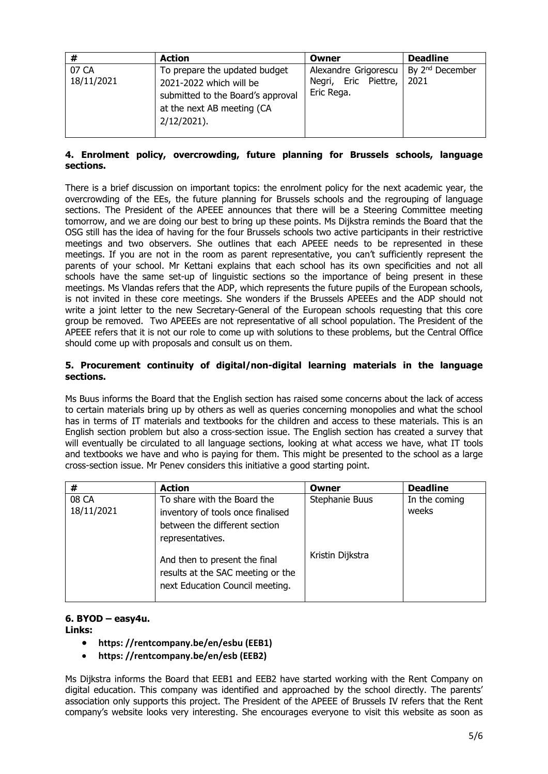| #                   | <b>Action</b>                                                                                                                                 | Owner                                                      | <b>Deadline</b>                     |
|---------------------|-----------------------------------------------------------------------------------------------------------------------------------------------|------------------------------------------------------------|-------------------------------------|
| 07 CA<br>18/11/2021 | To prepare the updated budget<br>2021-2022 which will be<br>submitted to the Board's approval<br>at the next AB meeting (CA<br>$2/12/2021$ ). | Alexandre Grigorescu<br>Negri, Eric Piettre,<br>Eric Rega. | By 2 <sup>nd</sup> December<br>2021 |

# **4. Enrolment policy, overcrowding, future planning for Brussels schools, language sections.**

There is a brief discussion on important topics: the enrolment policy for the next academic year, the overcrowding of the EEs, the future planning for Brussels schools and the regrouping of language sections. The President of the APEEE announces that there will be a Steering Committee meeting tomorrow, and we are doing our best to bring up these points. Ms Dijkstra reminds the Board that the OSG still has the idea of having for the four Brussels schools two active participants in their restrictive meetings and two observers. She outlines that each APEEE needs to be represented in these meetings. If you are not in the room as parent representative, you can't sufficiently represent the parents of your school. Mr Kettani explains that each school has its own specificities and not all schools have the same set-up of linguistic sections so the importance of being present in these meetings. Ms Vlandas refers that the ADP, which represents the future pupils of the European schools, is not invited in these core meetings. She wonders if the Brussels APEEEs and the ADP should not write a joint letter to the new Secretary-General of the European schools requesting that this core group be removed. Two APEEEs are not representative of all school population. The President of the APEEE refers that it is not our role to come up with solutions to these problems, but the Central Office should come up with proposals and consult us on them.

# **5. Procurement continuity of digital/non-digital learning materials in the language sections.**

Ms Buus informs the Board that the English section has raised some concerns about the lack of access to certain materials bring up by others as well as queries concerning monopolies and what the school has in terms of IT materials and textbooks for the children and access to these materials. This is an English section problem but also a cross-section issue. The English section has created a survey that will eventually be circulated to all language sections, looking at what access we have, what IT tools and textbooks we have and who is paying for them. This might be presented to the school as a large cross-section issue. Mr Penev considers this initiative a good starting point.

| #                   | <b>Action</b>                                                                                                         | Owner            | <b>Deadline</b>        |
|---------------------|-----------------------------------------------------------------------------------------------------------------------|------------------|------------------------|
| 08 CA<br>18/11/2021 | To share with the Board the<br>inventory of tools once finalised<br>between the different section<br>representatives. | Stephanie Buus   | In the coming<br>weeks |
|                     | And then to present the final<br>results at the SAC meeting or the<br>next Education Council meeting.                 | Kristin Dijkstra |                        |

#### **6. BYOD – easy4u. Links:**

- **https: //rentcompany.be/en/esbu (EEB1)**
- **https: //rentcompany.be/en/esb (EEB2)**

Ms Dijkstra informs the Board that EEB1 and EEB2 have started working with the Rent Company on digital education. This company was identified and approached by the school directly. The parents' association only supports this project. The President of the APEEE of Brussels IV refers that the Rent company's website looks very interesting. She encourages everyone to visit this website as soon as